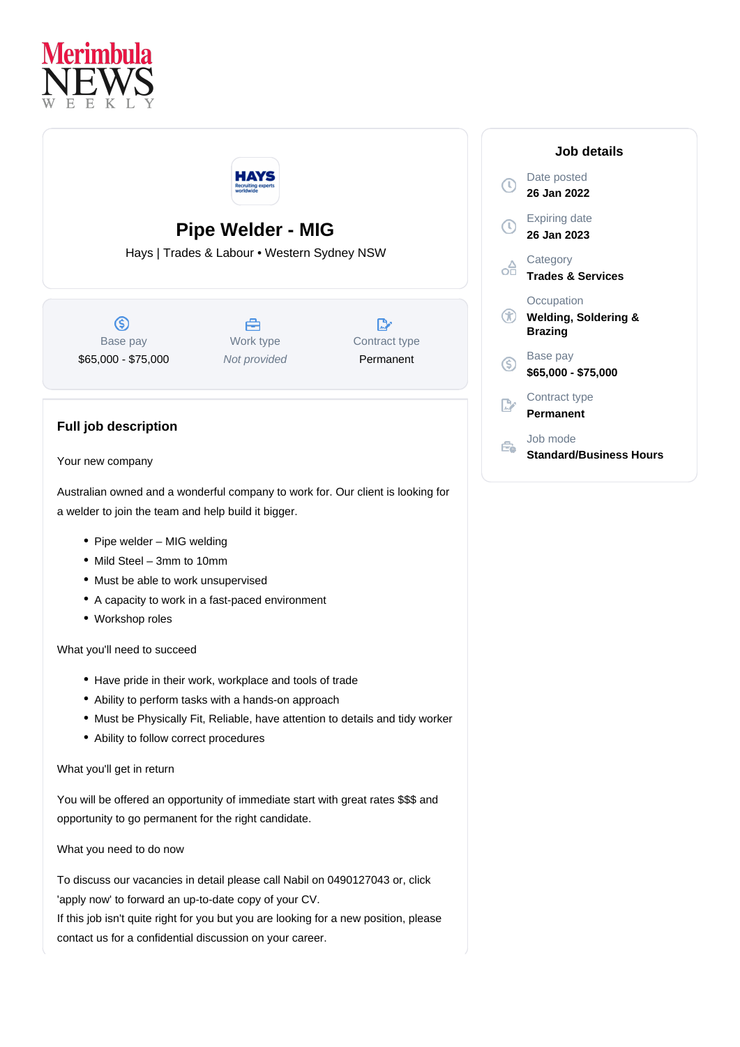



## **Pipe Welder - MIG**

Hays | Trades & Labour • Western Sydney NSW

 $\circledS$ Base pay \$65,000 - \$75,000

A Work type Not provided

 $\mathbb{R}^n$ Contract type Permanent



## Your new company

**Full job description**

Australian owned and a wonderful company to work for. Our client is looking for a welder to join the team and help build it bigger.

- Pipe welder MIG welding
- Mild Steel 3mm to 10mm
- Must be able to work unsupervised
- A capacity to work in a fast-paced environment
- Workshop roles

What you'll need to succeed

- Have pride in their work, workplace and tools of trade
- Ability to perform tasks with a hands-on approach
- Must be Physically Fit, Reliable, have attention to details and tidy worker
- Ability to follow correct procedures

What you'll get in return

You will be offered an opportunity of immediate start with great rates \$\$\$ and opportunity to go permanent for the right candidate.

What you need to do now

To discuss our vacancies in detail please call Nabil on 0490127043 or, click 'apply now' to forward an up-to-date copy of your CV. If this job isn't quite right for you but you are looking for a new position, please contact us for a confidential discussion on your career.